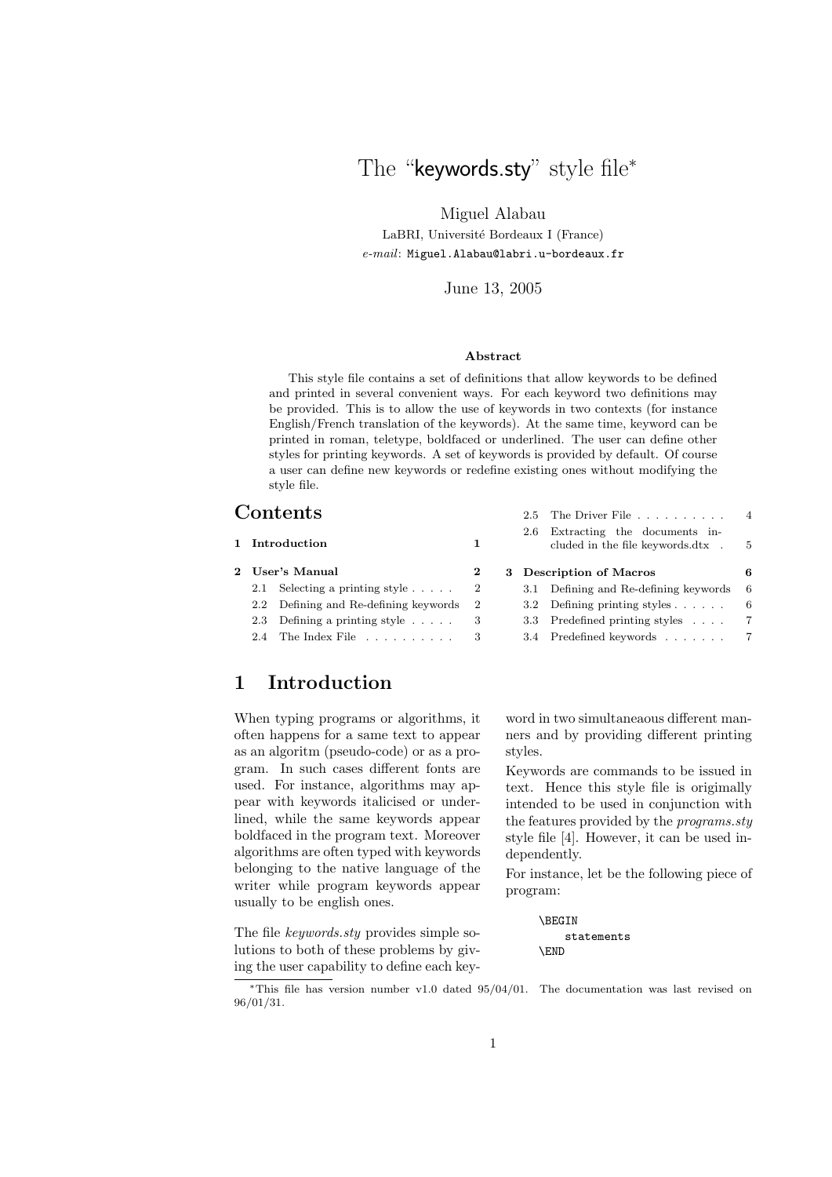# The "keywords.sty" style file\*

Miguel Alabau

LaBRI, Université Bordeaux I (France) *e-mail*: Miguel.Alabau@labri.u-bordeaux.fr

#### June 13, 2005

#### **Abstract**

This style file contains a set of definitions that allow keywords to be defined and printed in several convenient ways. For each keyword two definitions may be provided. This is to allow the use of keywords in two contexts (for instance English/French translation of the keywords). At the same time, keyword can be printed in roman, teletype, boldfaced or underlined. The user can define other styles for printing keywords. A set of keywords is provided by default. Of course a user can define new keywords or redefine existing ones without modifying the style file.

### **Contents**

| 1 Introduction |                                          | 1.       |  | 2.6 Extracting the documents in-<br>cluded in the file keywords.dtx . 5<br>3 Description of Macros |                                        |     |
|----------------|------------------------------------------|----------|--|----------------------------------------------------------------------------------------------------|----------------------------------------|-----|
|                | 2 User's Manual                          |          |  |                                                                                                    |                                        | 6   |
|                | 2.1 Selecting a printing style           | $\sim 2$ |  |                                                                                                    | 3.1 Defining and Re-defining keywords  | - 6 |
|                | 2.2 Defining and Re-defining keywords 2  |          |  |                                                                                                    | 3.2 Defining printing styles $\dots$ . | -6  |
|                | 2.3 Defining a printing style $\ldots$ . |          |  |                                                                                                    | 3.3 Predefined printing styles         | - 7 |
|                |                                          |          |  |                                                                                                    | 3.4 Predefined keywords 7              |     |
|                |                                          |          |  |                                                                                                    |                                        |     |

## **1 Introduction**

When typing programs or algorithms, it often happens for a same text to appear as an algoritm (pseudo-code) or as a program. In such cases different fonts are used. For instance, algorithms may appear with keywords italicised or underlined, while the same keywords appear boldfaced in the program text. Moreover algorithms are often typed with keywords belonging to the native language of the writer while program keywords appear usually to be english ones.

The file *keywords.sty* provides simple solutions to both of these problems by giving the user capability to define each keyword in two simultaneaous different manners and by providing different printing styles.

2.5 The Driver File . . . . . . . . . . 4

Keywords are commands to be issued in text. Hence this style file is origimally intended to be used in conjunction with the features provided by the *programs.sty* style file [4]. However, it can be used independently.

For instance, let be the following piece of program:

```
\BEGIN
    statements
\END
```
<sup>∗</sup>This file has version number v1.0 dated 95/04/01. The documentation was last revised on 96/01/31.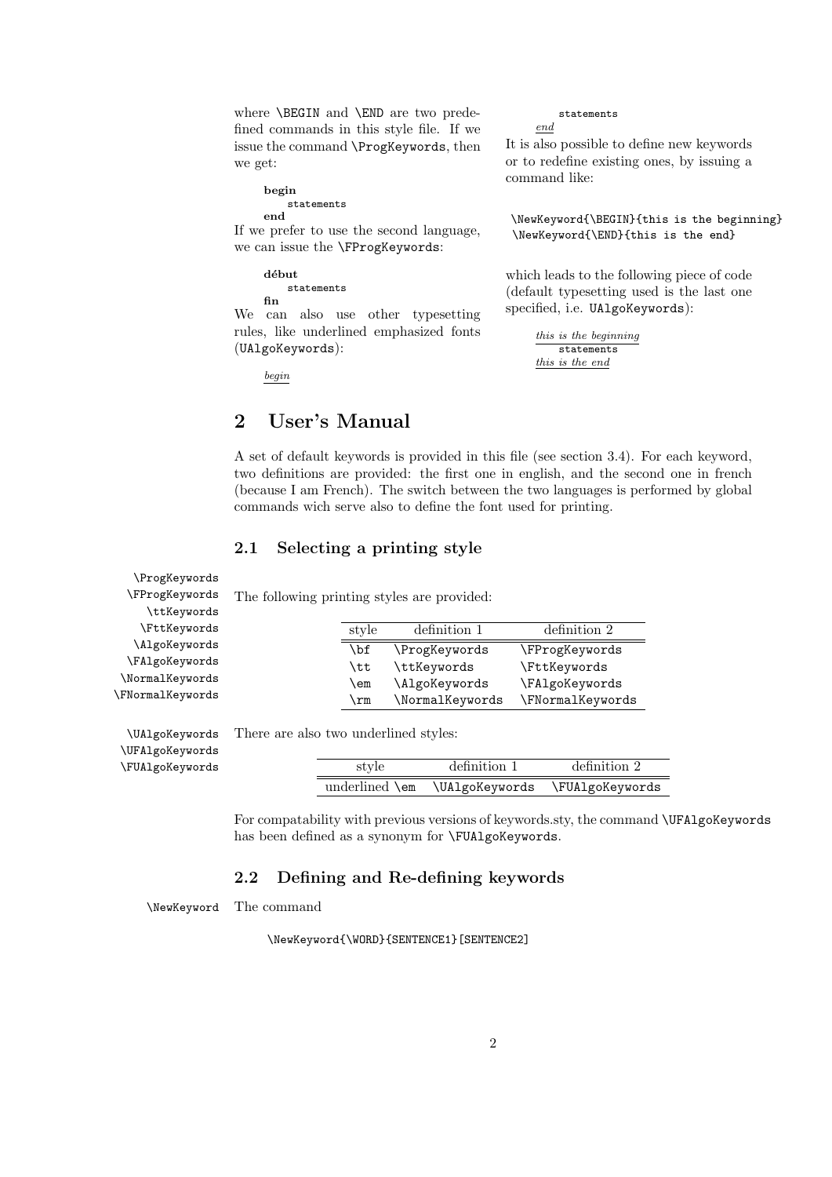where \BEGIN and \END are two predefined commands in this style file. If we issue the command \ProgKeywords, then we get:

#### **begin**

statements **end**

If we prefer to use the second language, we can issue the \FProgKeywords:

#### **début** statements **fin**

We can also use other typesetting rules, like underlined emphasized fonts (UAlgoKeywords):

*begin*

# **2 User's Manual**

#### statements *end*

It is also possible to define new keywords or to redefine existing ones, by issuing a command like:

\NewKeyword{\BEGIN}{this is the beginning} \NewKeyword{\END}{this is the end}

which leads to the following piece of code (default typesetting used is the last one specified, i.e. UAlgoKeywords):

> *this is the beginning* statements *this is the end*

A set of default keywords is provided in this file (see section 3.4). For each keyword, two definitions are provided: the first one in english, and the second one in french (because I am French). The switch between the two languages is performed by global commands wich serve also to define the font used for printing.

### **2.1 Selecting a printing style**

The following printing styles are provided:

| style | definition 1    | definition 2     |
|-------|-----------------|------------------|
| \bf   | \ProgKeywords   | \FProgKeywords   |
| \tt   | \ttKeywords     | \FttKeywords     |
| \em   | \AlgoKeywords   | \FAlgoKeywords   |
| \rm   | \NormalKeywords | \FNormalKeywords |

\ttKeywords \FttKeywords \AlgoKeywords \FAlgoKeywords \NormalKeywords \FNormalKeywords

\UFAlgoKeywords \FUAlgoKeywords

\ProgKeywords \FProgKeywords

\UAlgoKeywords There are also two underlined styles:

| style          | definition 1   | definition 2    |
|----------------|----------------|-----------------|
| underlined \em | \UAlgoKeywords | \FUAlgoKeywords |

For compatability with previous versions of keywords.sty, the command **\UFAlgoKeywords** has been defined as a synonym for \FUAlgoKeywords.

### **2.2 Defining and Re-defining keywords**

\NewKeyword The command

\NewKeyword{\WORD}{SENTENCE1}[SENTENCE2]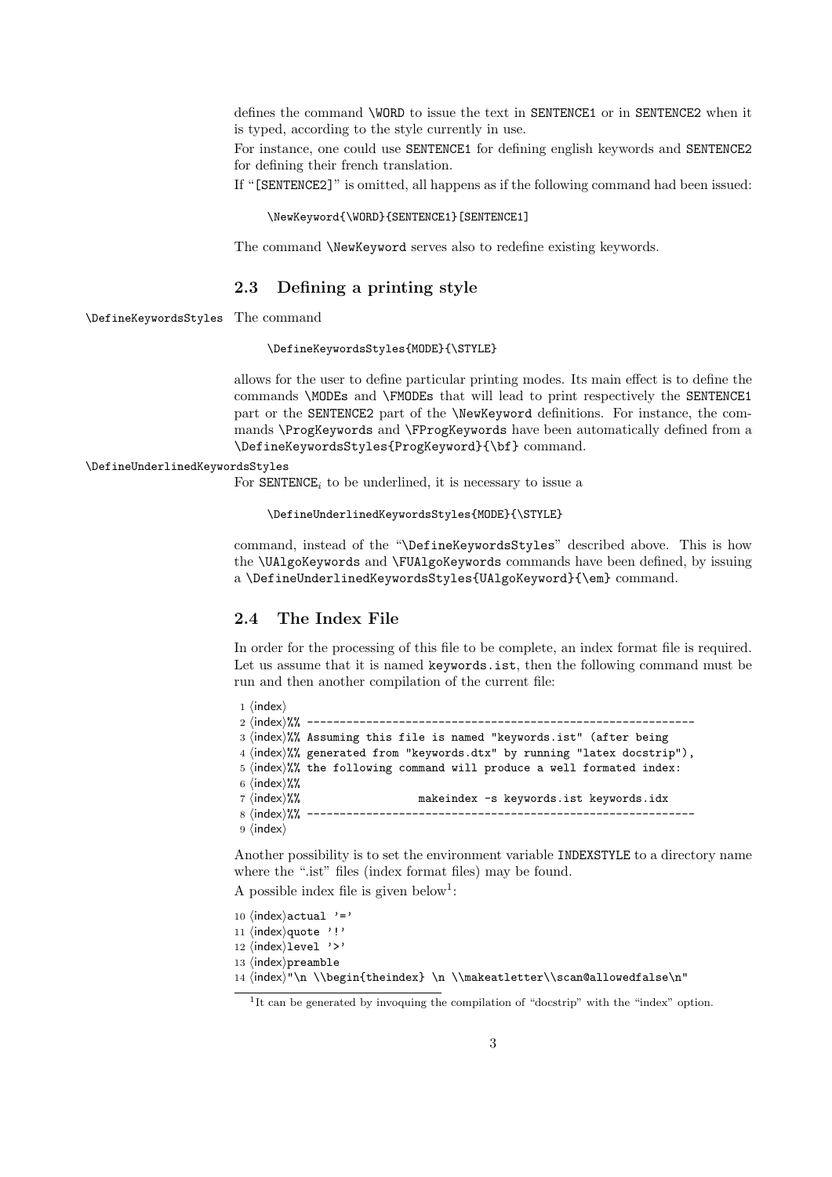defines the command \WORD to issue the text in SENTENCE1 or in SENTENCE2 when it is typed, according to the style currently in use.

For instance, one could use SENTENCE1 for defining english keywords and SENTENCE2 for defining their french translation.

If "[SENTENCE2]" is omitted, all happens as if the following command had been issued:

#### \NewKeyword{\WORD}{SENTENCE1}[SENTENCE1]

The command \NewKeyword serves also to redefine existing keywords.

### **2.3 Defining a printing style**

\DefineKeywordsStyles The command

#### \DefineKeywordsStyles{MODE}{\STYLE}

allows for the user to define particular printing modes. Its main effect is to define the commands \MODEs and \FMODEs that will lead to print respectively the SENTENCE1 part or the SENTENCE2 part of the \NewKeyword definitions. For instance, the commands \ProgKeywords and \FProgKeywords have been automatically defined from a \DefineKeywordsStyles{ProgKeyword}{\bf} command.

#### \DefineUnderlinedKeywordsStyles

For  $\texttt{SENTENCE}_i$  to be underlined, it is necessary to issue a

```
\DefineUnderlinedKeywordsStyles{MODE}{\STYLE}
```
command, instead of the "\DefineKeywordsStyles" described above. This is how the \UAlgoKeywords and \FUAlgoKeywords commands have been defined, by issuing a \DefineUnderlinedKeywordsStyles{UAlgoKeyword}{\em} command.

### **2.4 The Index File**

In order for the processing of this file to be complete, an index format file is required. Let us assume that it is named keywords.ist, then the following command must be run and then another compilation of the current file:

```
1 \langleindex\rangle2 hindexi%% -----------------------------------------------------------
3 (index)%% Assuming this file is named "keywords.ist" (after being
4 (index)%% generated from "keywords.dtx" by running "latex docstrip"),
5 \times 5 (index)%% the following command will produce a well formated index:
6 \langle \text{index} \rangle%%
7 (index)%% makeindex -s keywords.ist keywords.idx
8 hindexi%% -----------------------------------------------------------
9 \langleindex\rangle
```
Another possibility is to set the environment variable INDEXSTYLE to a directory name where the ".ist" files (index format files) may be found.

A possible index file is given below<sup>1</sup>:

```
10 \langleindex\rangleactual '='
11 (index) quote '!'
12 (index)level '>'
13 \langleindex\ranglepreamble
```

```
14 \cdot \text{index} \in \mathbb{L} \\begin{theindex} \n \\makeatletter\\scan@allowedfalse\n"
```
<sup>&</sup>lt;sup>1</sup>It can be generated by invoquing the compilation of "docstrip" with the "index" option.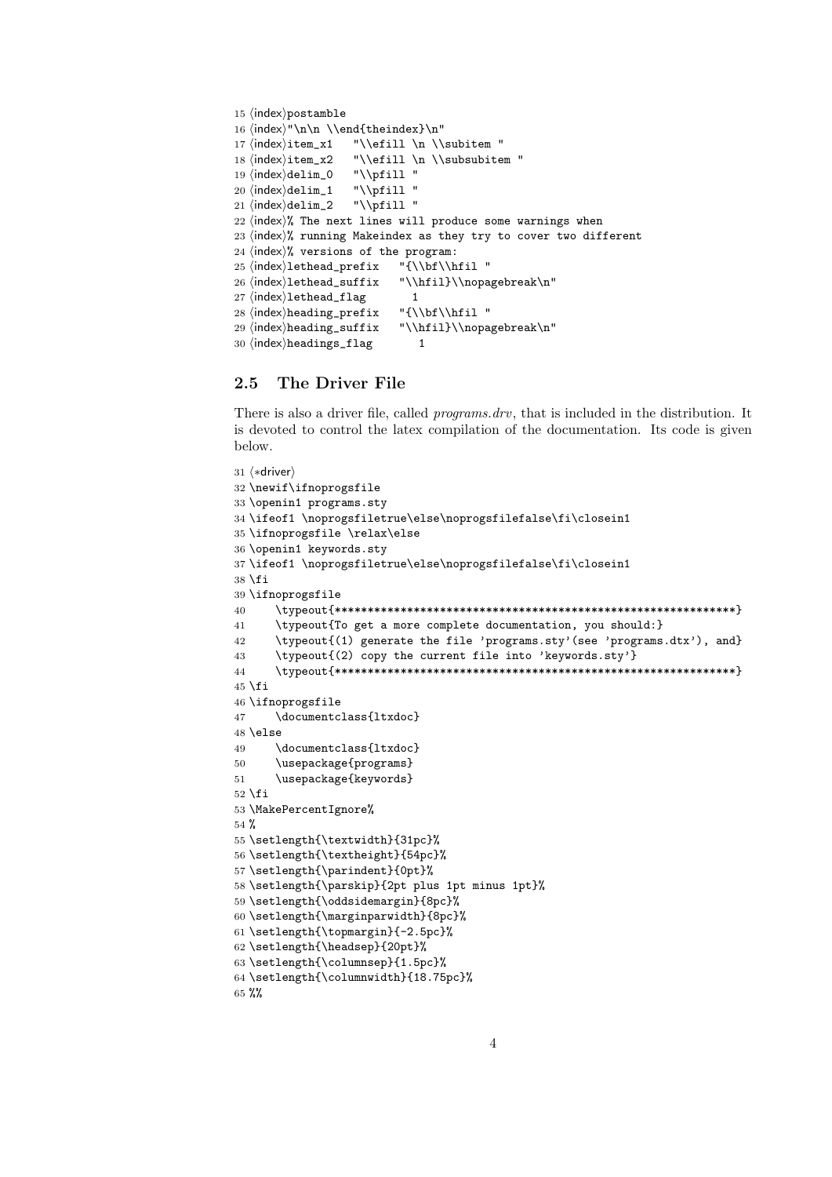```
15 (index)postamble
16 \langle \text{index} \"\n\n \\end{theindex}\n"
17 \langle index \rangleitem_x1 "\\efill \n \\subitem "
18 \langle \texttt{index} \times 2 \quad \texttt{list} \in \mathbb{N} \subset \mathbb{N} \text{if } 11 \text{ if } 12 \leq \texttt{list} \leq \texttt{list} \texttt{list} \texttt{list} \texttt{list} \texttt{list} \texttt{list} \texttt{list} \texttt{list} \texttt{list} \texttt{list} \texttt{list} \texttt{list} \texttt{list} \texttt{list} \texttt{list} \texttt{list} \texttt{list} \texttt{list} \texttt{list} \texttt{list} \texttt{list} \texttt{list} \texttt{list} \texttt{list} \texttt{list} \texttt{19 \langle \delta_0 "\\pfill "<br>20 \langle \delta_1"\\pfill "
20 \langle index \rangle \text{delim}_1 \quad \text{``\\\pfill''} \\ 21 \langle index \rangle \text{delim}_2 \quad \text{``\\\pfill''}21 \langle \text{index} \rangledelim_2
22 \n{index}\% The next lines will produce some warnings when
23 \; \langle \text{index} \rangle% running Makeindex as they try to cover two different
24 \langle \text{index} \rangle% versions of the program:
25 \langle \text{index} \text{25} \rangle \ "{\\bf\\hfil "
26 \index\lethead_suffix "\\hfil}\\nopagebreak\n"
27 \langle index)<br>1ethead_flag 1<br>28 \langle heading_prefix "{\\bf\\hfil"
28 \langle \text{index} \rangleheading_prefix
29 \index\heading_suffix "\\hfil}\\nopagebreak\n"
30 \langleindex\rangleheadings_flag 1
```
### **2.5 The Driver File**

There is also a driver file, called *programs.drv*, that is included in the distribution. It is devoted to control the latex compilation of the documentation. Its code is given below.

```
31 (*driver)
32 \newif\ifnoprogsfile
33 \openin1 programs.sty
34 \ifeof1 \noprogsfiletrue\else\noprogsfilefalse\fi\closein1
35 \ifnoprogsfile \relax\else
36 \openin1 keywords.sty
37 \ifeof1 \noprogsfiletrue\else\noprogsfilefalse\fi\closein1
38 \fi
39 \ifnoprogsfile
40 \typeout{*************************************************************}
41 \typeout{To get a more complete documentation, you should:}
42 \typeout{(1) generate the file 'programs.sty'(see 'programs.dtx'), and}
43 \typeout{(2) copy the current file into 'keywords.sty'}
44 \typeout{*************************************************************}
45 \fi
46 \ifnoprogsfile
47 \documentclass{ltxdoc}
48 \else
49 \documentclass{ltxdoc}
50 \usepackage{programs}
51 \usepackage{keywords}
52 \fi
53 \MakePercentIgnore%
54 %
55 \setlength{\textwidth}{31pc}%
56 \setlength{\textheight}{54pc}%
57 \setlength{\parindent}{0pt}%
58 \setlength{\parskip}{2pt plus 1pt minus 1pt}%
59 \setlength{\oddsidemargin}{8pc}%
60 \setlength{\marginparwidth}{8pc}%
61 \setlength{\topmargin}{-2.5pc}%
62 \setlength{\headsep}{20pt}%
63 \setlength{\columnsep}{1.5pc}%
64 \setlength{\columnwidth}{18.75pc}%
```

```
65 %%
```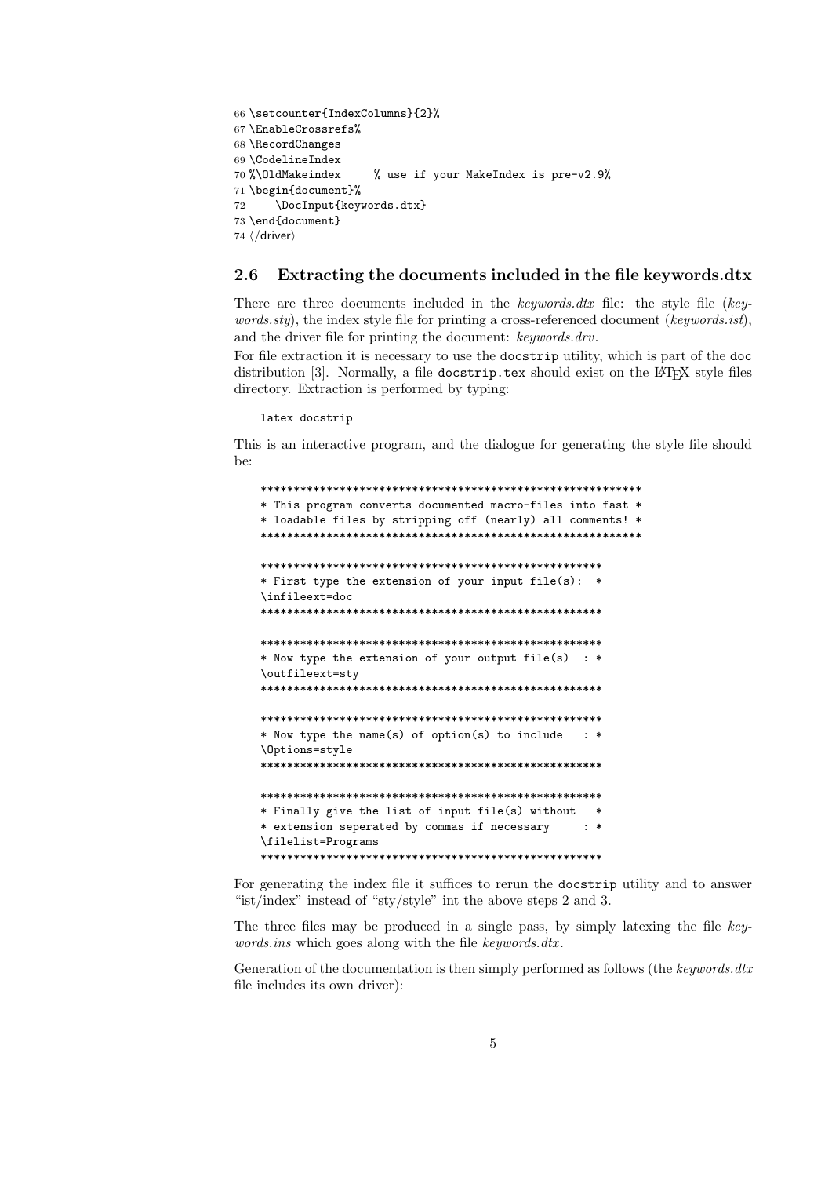```
66 \setcounter{IndexColumns}{2}%
67 \EnableCrossrefs%
68 \RecordChanges
69 \CodelineIndex<br>70 %\OldMakeindex
                         % use if your MakeIndex is pre-v2.9%
71 \begin{document}%
72 \DocInput{keywords.dtx}
73 \end{document}
74 \langle /driver\rangle
```
### **2.6 Extracting the documents included in the file keywords.dtx**

There are three documents included in the *keywords.dtx* file: the style file (*keywords.sty*), the index style file for printing a cross-referenced document (*keywords.ist*), and the driver file for printing the document: *keywords.drv*.

For file extraction it is necessary to use the docstrip utility, which is part of the doc distribution [3]. Normally, a file docstrip.tex should exist on the LAT<sub>E</sub>X style files directory. Extraction is performed by typing:

latex docstrip

This is an interactive program, and the dialogue for generating the style file should be:

\*\*\*\*\*\*\*\*\*\*\*\*\*\*\*\*\*\*\*\*\*\*\*\*\*\*\*\*\*\*\*\*\*\*\*\*\*\*\*\*\*\*\*\*\*\*\*\*\*\*\*\*\*\*\*\*\*\* \* This program converts documented macro-files into fast \* \* loadable files by stripping off (nearly) all comments! \* \*\*\*\*\*\*\*\*\*\*\*\*\*\*\*\*\*\*\*\*\*\*\*\*\*\*\*\*\*\*\*\*\*\*\*\*\*\*\*\*\*\*\*\*\*\*\*\*\*\*\*\*\*\*\*\*\*\* \*\*\*\*\*\*\*\*\*\*\*\*\*\*\*\*\*\*\*\*\*\*\*\*\*\*\*\*\*\*\*\*\*\*\*\*\*\*\*\*\*\*\*\*\*\*\*\*\*\*\*\* \* First type the extension of your input file(s): \* \infileext=doc \*\*\*\*\*\*\*\*\*\*\*\*\*\*\*\*\*\*\*\*\*\*\*\*\*\*\*\*\*\*\*\*\*\*\*\*\*\*\*\*\*\*\*\*\*\*\*\*\*\*\*\* \*\*\*\*\*\*\*\*\*\*\*\*\*\*\*\*\*\*\*\*\*\*\*\*\*\*\*\*\*\*\*\*\*\*\*\*\*\*\*\*\*\*\*\*\*\*\*\*\*\*\*\* \* Now type the extension of your output file(s) : \* \outfileext=sty \*\*\*\*\*\*\*\*\*\*\*\*\*\*\*\*\*\*\*\*\*\*\*\*\*\*\*\*\*\*\*\*\*\*\*\*\*\*\*\*\*\*\*\*\*\*\*\*\*\*\*\* \*\*\*\*\*\*\*\*\*\*\*\*\*\*\*\*\*\*\*\*\*\*\*\*\*\*\*\*\*\*\*\*\*\*\*\*\*\*\*\*\*\*\*\*\*\*\*\*\*\*\*\* \* Now type the name(s) of option(s) to include : \* \Options=style \*\*\*\*\*\*\*\*\*\*\*\*\*\*\*\*\*\*\*\*\*\*\*\*\*\*\*\*\*\*\*\*\*\*\*\*\*\*\*\*\*\*\*\*\*\*\*\*\*\*\*\* \*\*\*\*\*\*\*\*\*\*\*\*\*\*\*\*\*\*\*\*\*\*\*\*\*\*\*\*\*\*\*\*\*\*\*\*\*\*\*\*\*\*\*\*\*\*\*\*\*\*\*\* \* Finally give the list of input file(s) without \* \* extension seperated by commas if necessary : \* \filelist=Programs \*\*\*\*\*\*\*\*\*\*\*\*\*\*\*\*\*\*\*\*\*\*\*\*\*\*\*\*\*\*\*\*\*\*\*\*\*\*\*\*\*\*\*\*\*\*\*\*\*\*\*\*

For generating the index file it suffices to rerun the docstrip utility and to answer "ist/index" instead of "sty/style" int the above steps 2 and 3.

The three files may be produced in a single pass, by simply latexing the file *keywords.ins* which goes along with the file *keywords.dtx* .

Generation of the documentation is then simply performed as follows (the *keywords.dtx* file includes its own driver):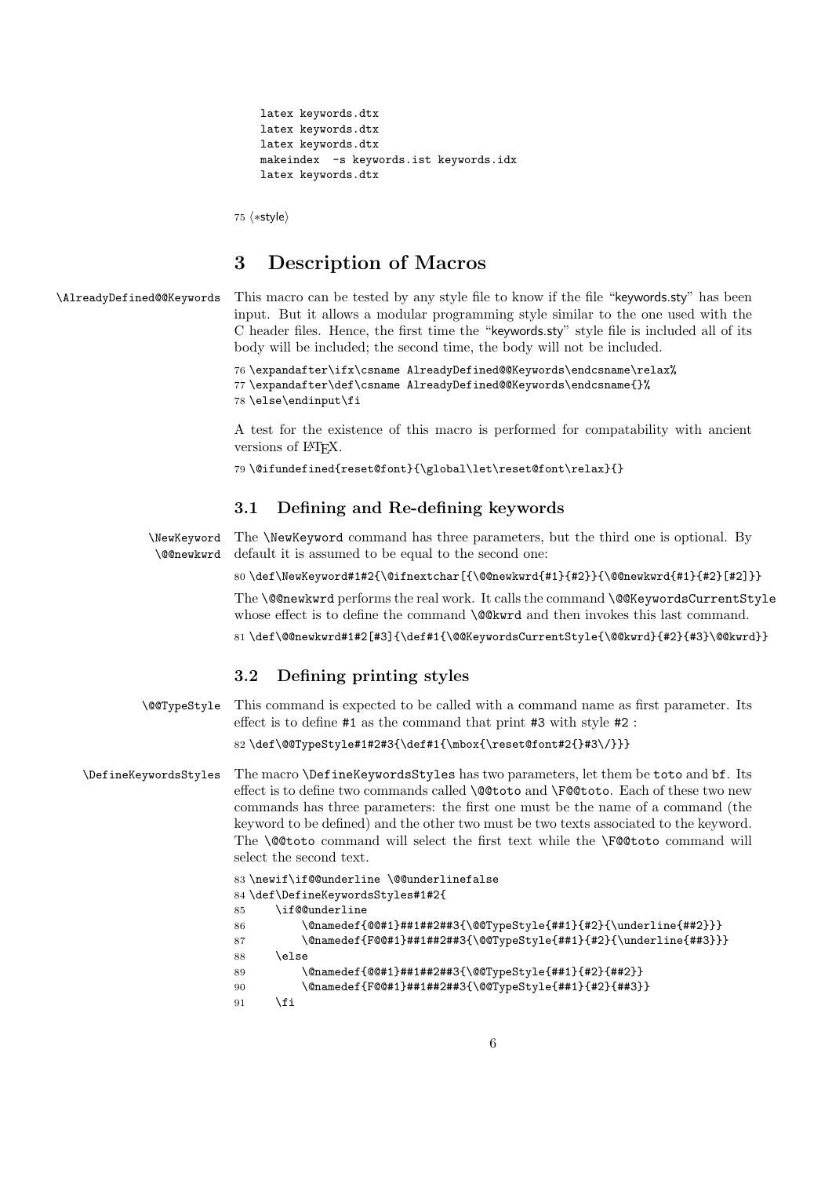```
latex keywords.dtx
latex keywords.dtx
latex keywords.dtx
makeindex -s keywords.ist keywords.idx
latex keywords.dtx
```
75  $\langle \ast$ style $\rangle$ 

### **3 Description of Macros**

\AlreadyDefined@@Keywords This macro can be tested by any style file to know if the file "keywords.sty" has been input. But it allows a modular programming style similar to the one used with the C header files. Hence, the first time the "keywords.sty" style file is included all of its body will be included; the second time, the body will not be included.

```
76 \expandafter\ifx\csname AlreadyDefined@@Keywords\endcsname\relax%
77 \expandafter\def\csname AlreadyDefined@@Keywords\endcsname{}%
78 \else\endinput\fi
```
A test for the existence of this macro is performed for compatability with ancient versions of L<sup>AT</sup>EX.

79 \@ifundefined{reset@font}{\global\let\reset@font\relax}{}

### **3.1 Defining and Re-defining keywords**

\NewKeyword \@@newkwrd The \NewKeyword command has three parameters, but the third one is optional. By default it is assumed to be equal to the second one:

80 \def\NewKeyword#1#2{\@ifnextchar[{\@@newkwrd{#1}{#2}}{\@@newkwrd{#1}{#2}[#2]}}

The \@@newkwrd performs the real work. It calls the command \@@KeywordsCurrentStyle whose effect is to define the command **\@@kwrd** and then invokes this last command.

81 \def\@@newkwrd#1#2[#3]{\def#1{\@@KeywordsCurrentStyle{\@@kwrd}{#2}{#3}\@@kwrd}}

### **3.2 Defining printing styles**

\@@TypeStyle This command is expected to be called with a command name as first parameter. Its effect is to define #1 as the command that print #3 with style #2 :

82 \def\@@TypeStyle#1#2#3{\def#1{\mbox{\reset@font#2{}#3\/}}}

\DefineKeywordsStyles The macro \DefineKeywordsStyles has two parameters, let them be toto and bf. Its effect is to define two commands called \@@toto and \F@@toto. Each of these two new commands has three parameters: the first one must be the name of a command (the keyword to be defined) and the other two must be two texts associated to the keyword. The **\@@toto** command will select the first text while the **\F@@toto** command will select the second text.

```
83 \newif\if@@underline \@@underlinefalse
84 \def\DefineKeywordsStyles#1#2{
85 \if@@underline
86 \@namedef{@@#1}##1##2##3{\@@TypeStyle{##1}{#2}{\underline{##2}}}
87 \@namedef{F@@#1}##1##2##3{\@@TypeStyle{##1}{#2}{\underline{##3}}}
88 \else
89 \@namedef{@@#1}##1##2##3{\@@TypeStyle{##1}{#2}{##2}}
90 \@namedef{F@@#1}##1##2##3{\@@TypeStyle{##1}{#2}{##3}}
91 \setminusfi
```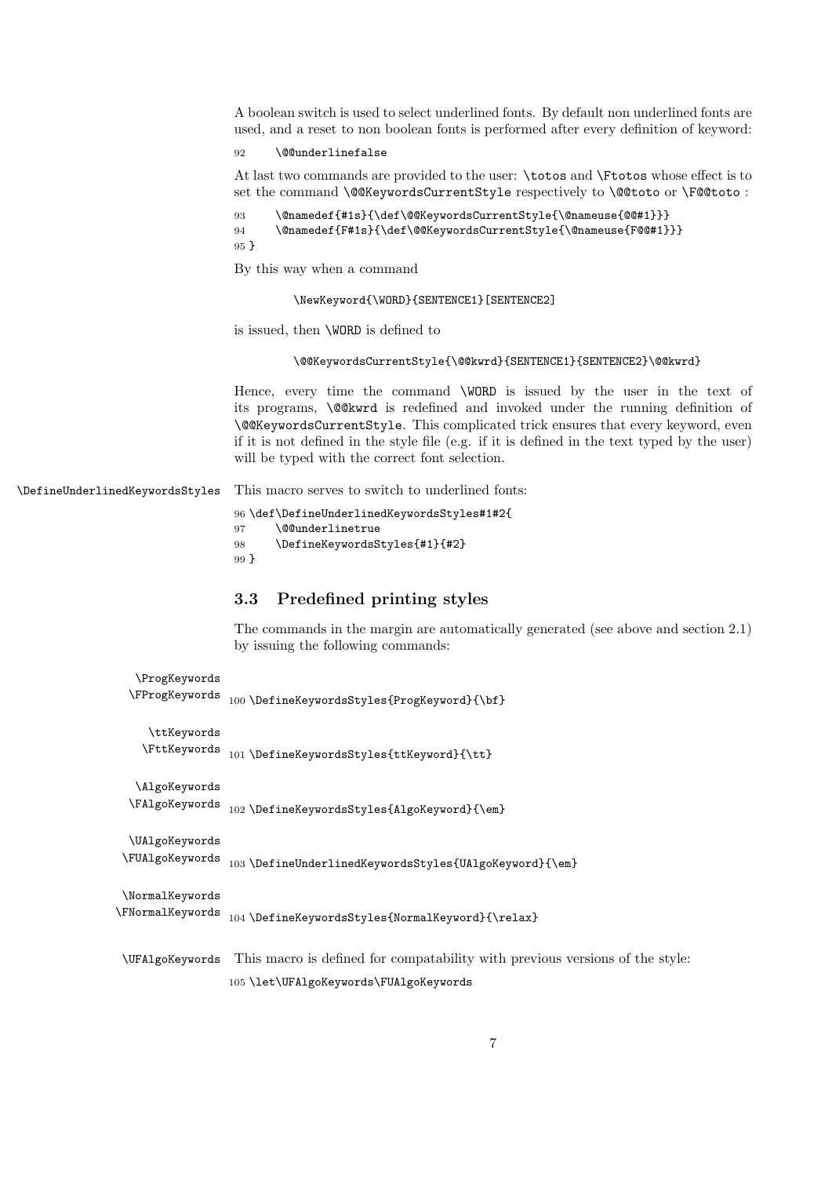A boolean switch is used to select underlined fonts. By default non underlined fonts are used, and a reset to non boolean fonts is performed after every definition of keyword:

#### 92 \@@underlinefalse

At last two commands are provided to the user: \totos and \Ftotos whose effect is to set the command \@@KeywordsCurrentStyle respectively to \@@toto or \F@@toto :

```
93 \@namedef{#1s}{\def\@@KeywordsCurrentStyle{\@nameuse{@@#1}}}
94 \@namedef{F#1s}{\def\@@KeywordsCurrentStyle{\@nameuse{F@@#1}}}
95 }
```
By this way when a command

\NewKeyword{\WORD}{SENTENCE1}[SENTENCE2]

is issued, then \WORD is defined to

#### \@@KeywordsCurrentStyle{\@@kwrd}{SENTENCE1}{SENTENCE2}\@@kwrd}

Hence, every time the command \WORD is issued by the user in the text of its programs, \@@kwrd is redefined and invoked under the running definition of \@@KeywordsCurrentStyle. This complicated trick ensures that every keyword, even if it is not defined in the style file (e.g. if it is defined in the text typed by the user) will be typed with the correct font selection.

\DefineUnderlinedKeywordsStyles This macro serves to switch to underlined fonts:

96 \def\DefineUnderlinedKeywordsStyles#1#2{

97 \@@underlinetrue

98 \DefineKeywordsStyles{#1}{#2} 99 }

### **3.3 Predefined printing styles**

The commands in the margin are automatically generated (see above and section 2.1) by issuing the following commands:

```
\ProgKeywords
 \label{prop:main} $$ \FProgKeywords <math>_{100} \DefineKeywordsStyles{ProgKeyword}{\bf}\ttKeywords
    \label{thm:opt}\AlgoKeywords
  \label{thm:main} $$\FAlgoKeywords_{02}\DefineKeywordsStyles{AlgoKeywords}{\emph{mod-}{}\UAlgoKeywords
\FUAlgoKeywords 103 \DefineUnderlinedKeywordsStyles{UAlgoKeyword}{\em}
\NormalKeywords
\label{thm:main} \verb|VormalKeywords_104\DefineKeywordsStyles{NormalKeyword}{\rel{ \verb|relax|}}\UFAlgoKeywords This macro is defined for compatability with previous versions of the style:
```
105 \let\UFAlgoKeywords\FUAlgoKeywords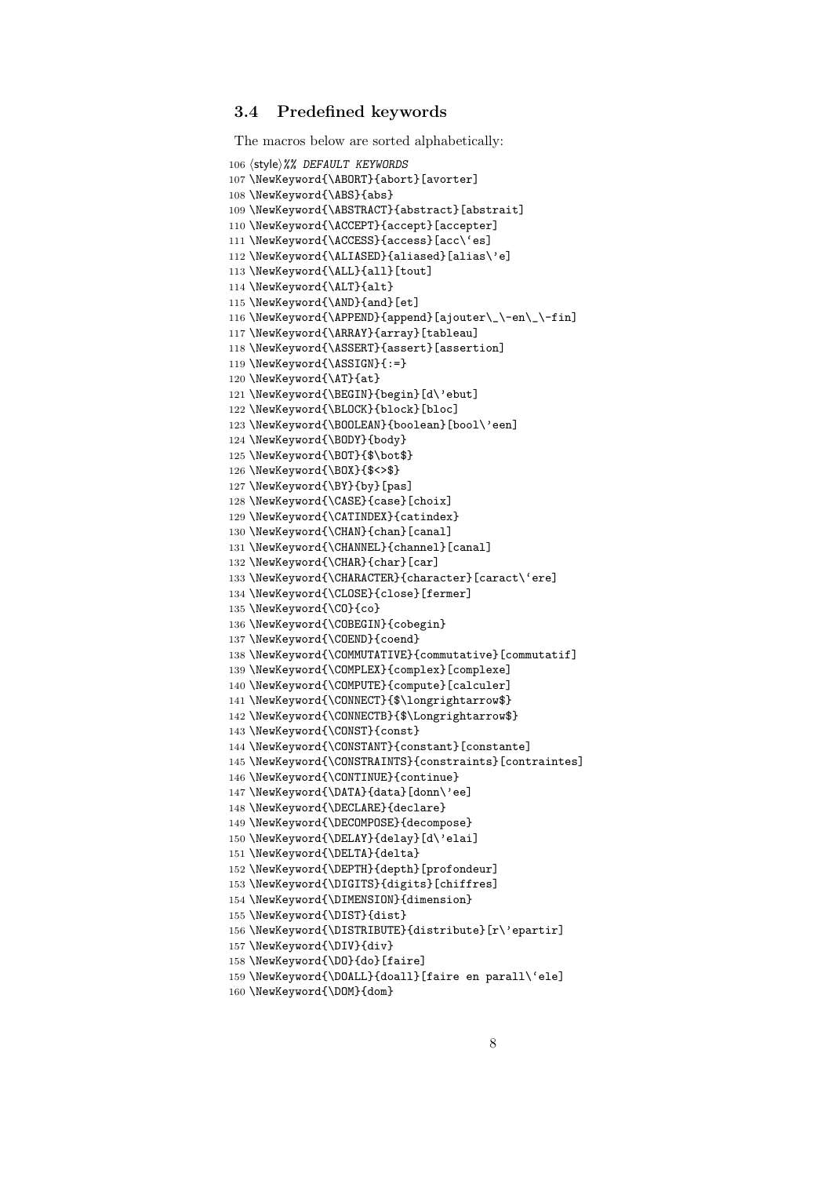### **3.4 Predefined keywords**

```
The macros below are sorted alphabetically:
106 hstylei%% DEFAULT KEYWORDS
107 \NewKeyword{\ABORT}{abort}[avorter]
108 \NewKeyword{\ABS}{abs}
109 \NewKeyword{\ABSTRACT}{abstract}[abstrait]
110 \NewKeyword{\ACCEPT}{accept}[accepter]
111 \NewKeyword{\ACCESS}{access}[acc\'es]
112 \NewKeyword{\ALIASED}{aliased}[alias\'e]
113 \NewKeyword{\ALL}{all}[tout]
114 \NewKeyword{\ALT}{alt}
115 \NewKeyword{\AND}{and}[et]
116 \NewKeyword{\APPEND}{append}[ajouter\_\-en\_\-fin]
117 \NewKeyword{\ARRAY}{array}[tableau]
118 \NewKeyword{\ASSERT}{assert}[assertion]
119 \NewKeyword{\ASSIGN}{:=}
120 \NewKeyword{\AT}{at}
121 \NewKeyword{\BEGIN}{begin}[d\'ebut]
122 \NewKeyword{\BLOCK}{block}[bloc]
123 \NewKeyword{\BOOLEAN}{boolean}[bool\'een]
124 \NewKeyword{\BODY}{body}
125 \NewKeyword{\BOT}{$\bot$}
126 \NewKeyword{\BOX}{$<>$}
127 \NewKeyword{\BY}{by}[pas]
128 \NewKeyword{\CASE}{case}[choix]
129 \NewKeyword{\CATINDEX}{catindex}
130 \NewKeyword{\CHAN}{chan}[canal]
131 \NewKeyword{\CHANNEL}{channel}[canal]
132 \NewKeyword{\CHAR}{char}[car]
133 \NewKeyword{\CHARACTER}{character}[caract\'ere]
134 \NewKeyword{\CLOSE}{close}[fermer]
135 \NewKeyword{\CO}{co}
136 \NewKeyword{\COBEGIN}{cobegin}
137 \NewKeyword{\COEND}{coend}
138 \NewKeyword{\COMMUTATIVE}{commutative}[commutatif]
139 \NewKeyword{\COMPLEX}{complex}[complexe]
140 \NewKeyword{\COMPUTE}{compute}[calculer]
141 \NewKeyword{\CONNECT}{$\longrightarrow$}
142 \NewKeyword{\CONNECTB}{$\Longrightarrow$}
143 \NewKeyword{\CONST}{const}
144 \NewKeyword{\CONSTANT}{constant}[constante]
145 \NewKeyword{\CONSTRAINTS}{constraints}[contraintes]
146 \NewKeyword{\CONTINUE}{continue}
147 \NewKeyword{\DATA}{data}[donn\'ee]
148 \NewKeyword{\DECLARE}{declare}
149 \NewKeyword{\DECOMPOSE}{decompose}
150 \NewKeyword{\DELAY}{delay}[d\'elai]
151 \NewKeyword{\DELTA}{delta}
152 \NewKeyword{\DEPTH}{depth}[profondeur]
153 \NewKeyword{\DIGITS}{digits}[chiffres]
154 \NewKeyword{\DIMENSION}{dimension}
155 \NewKeyword{\DIST}{dist}
156 \NewKeyword{\DISTRIBUTE}{distribute}[r\'epartir]
157 \NewKeyword{\DIV}{div}
158 \NewKeyword{\DO}{do}[faire]
159 \NewKeyword{\DOALL}{doall}[faire en parall\'ele]
160 \NewKeyword{\DOM}{dom}
```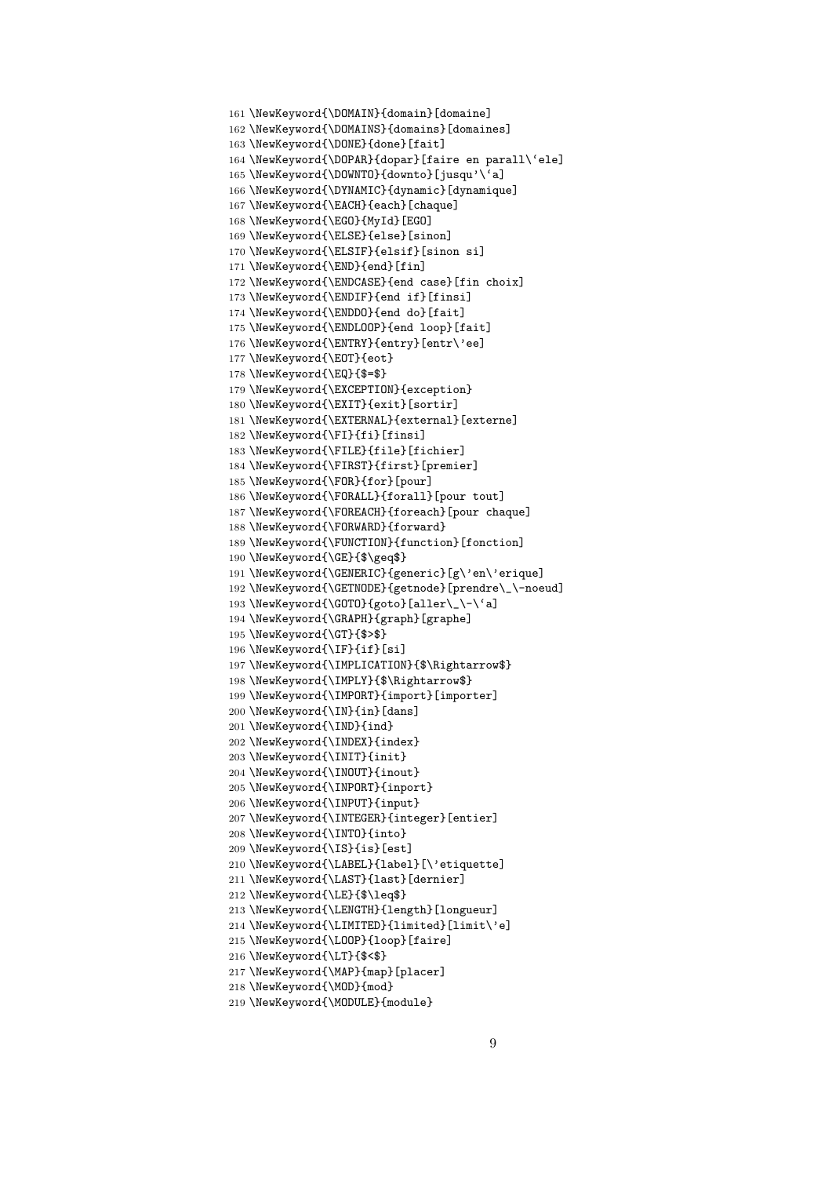```
161 \NewKeyword{\DOMAIN}{domain}[domaine]
162 \NewKeyword{\DOMAINS}{domains}[domaines]
163 \NewKeyword{\DONE}{done}[fait]
164 \NewKeyword{\DOPAR}{dopar}[faire en parall\'ele]
165 \NewKeyword{\DOWNTO}{downto}[jusqu'\'a]
166 \NewKeyword{\DYNAMIC}{dynamic}[dynamique]
167 \NewKeyword{\EACH}{each}[chaque]
168 \NewKeyword{\EGO}{MyId}[EGO]
169 \NewKeyword{\ELSE}{else}[sinon]
170 \NewKeyword{\ELSIF}{elsif}[sinon si]
171 \NewKeyword{\END}{end}[fin]
172 \NewKeyword{\ENDCASE}{end case}[fin choix]
173 \NewKeyword{\ENDIF}{end if}[finsi]
174 \NewKeyword{\ENDDO}{end do}[fait]
175 \NewKeyword{\ENDLOOP}{end loop}[fait]
176 \NewKeyword{\ENTRY}{entry}[entr\'ee]
177 \NewKeyword{\EOT}{eot}
178 \NewKeyword{\EQ}{$=$}
179 \NewKeyword{\EXCEPTION}{exception}
180 \NewKeyword{\EXIT}{exit}[sortir]
181 \NewKeyword{\EXTERNAL}{external}[externe]
182 \NewKeyword{\FI}{fi}[finsi]
183 \NewKeyword{\FILE}{file}[fichier]
184 \NewKeyword{\FIRST}{first}[premier]
185 \NewKeyword{\FOR}{for}[pour]
186 \NewKeyword{\FORALL}{forall}[pour tout]
187 \NewKeyword{\FOREACH}{foreach}[pour chaque]
188 \NewKeyword{\FORWARD}{forward}
189 \NewKeyword{\FUNCTION}{function}[fonction]
190 \NewKeyword{\GE}{$\geq$}
191 \NewKeyword{\GENERIC}{generic}[g\'en\'erique]
192 \NewKeyword{\GETNODE}{getnode}[prendre\_\-noeud]
193 \NewKeyword{\GOTO}{goto}[aller\_\-\'a]
194 \NewKeyword{\GRAPH}{graph}[graphe]
195 \NewKeyword{\GT}{$>$}
196 \NewKeyword{\IF}{if}[si]
197 \NewKeyword{\IMPLICATION}{$\Rightarrow$}
198 \NewKeyword{\IMPLY}{$\Rightarrow$}
199 \NewKeyword{\IMPORT}{import}[importer]
200 \NewKeyword{\IN}{in}[dans]
201 \NewKeyword{\IND}{ind}
202 \NewKeyword{\INDEX}{index}
203 \NewKeyword{\INIT}{init}
204 \NewKeyword{\INOUT}{inout}
205 \NewKeyword{\INPORT}{inport}
206 \NewKeyword{\INPUT}{input}
207 \NewKeyword{\INTEGER}{integer}[entier]
208 \NewKeyword{\INTO}{into}
209 \NewKeyword{\IS}{is}[est]
210 \NewKeyword{\LABEL}{label}[\'etiquette]
211 \NewKeyword{\LAST}{last}[dernier]
212 \NewKeyword{\LE}{$\leq$}
213 \NewKeyword{\LENGTH}{length}[longueur]
214 \NewKeyword{\LIMITED}{limited}[limit\'e]
215 \NewKeyword{\LOOP}{loop}[faire]
216 \NewKeyword{\LT}{$<$}
217 \NewKeyword{\MAP}{map}[placer]
218 \NewKeyword{\MOD}{mod}
219 \NewKeyword{\MODULE}{module}
```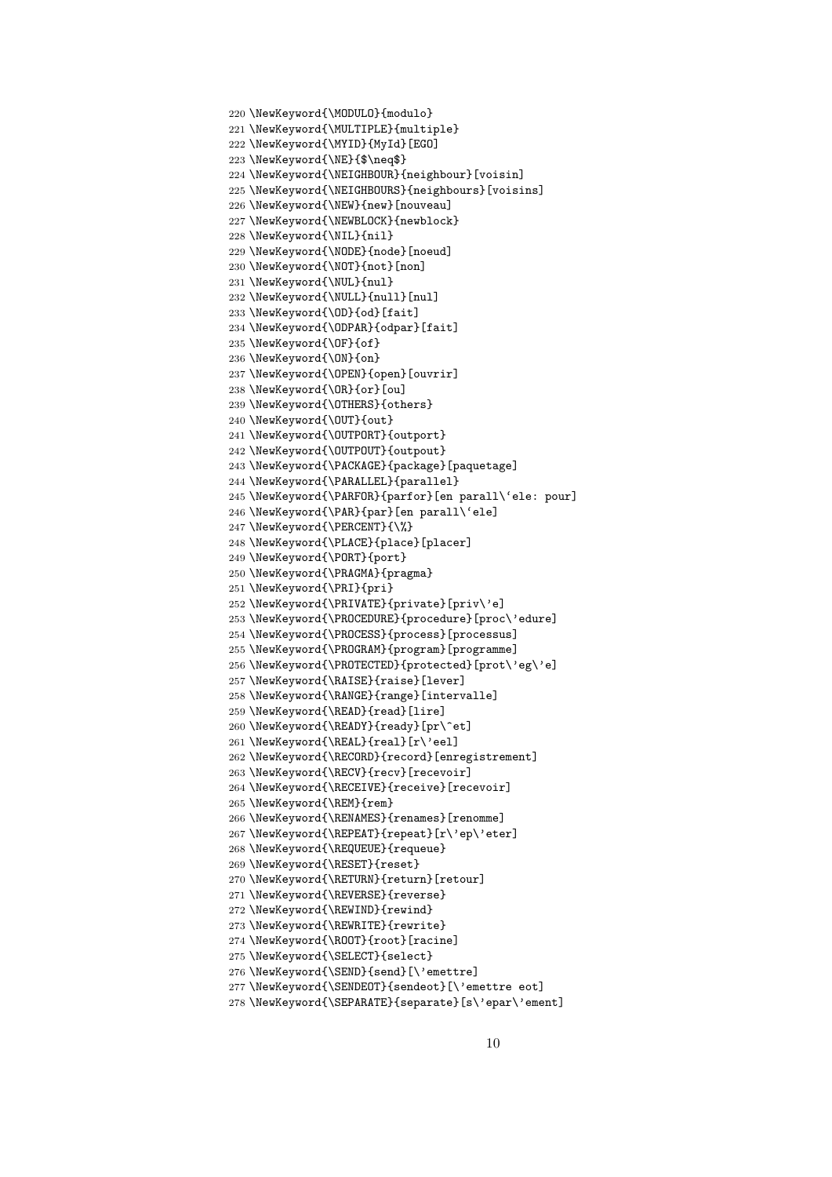```
220 \NewKeyword{\MODULO}{modulo}
221 \NewKeyword{\MULTIPLE}{multiple}
222 \NewKeyword{\MYID}{MyId}[EGO]
223 \NewKeyword{\NE}{$\neq$}
224 \NewKeyword{\NEIGHBOUR}{neighbour}[voisin]
225 \NewKeyword{\NEIGHBOURS}{neighbours}[voisins]
226 \NewKeyword{\NEW}{new}[nouveau]
227 \NewKeyword{\NEWBLOCK}{newblock}
228 \NewKeyword{\NIL}{nil}
229 \NewKeyword{\NODE}{node}[noeud]
230 \NewKeyword{\NOT}{not}[non]
231 \NewKeyword{\NUL}{nul}
232 \NewKeyword{\NULL}{null}[nul]
233 \NewKeyword{\OD}{od}[fait]
234 \NewKeyword{\ODPAR}{odpar}[fait]
235 \NewKeyword{\OF}{of}
236 \NewKeyword{\ON}{on}
237 \NewKeyword{\OPEN}{open}[ouvrir]
238 \NewKeyword{\OR}{or}[ou]
239 \NewKeyword{\OTHERS}{others}
240 \NewKeyword{\OUT}{out}
241 \NewKeyword{\OUTPORT}{outport}
242 \NewKeyword{\OUTPOUT}{outpout}
243 \NewKeyword{\PACKAGE}{package}[paquetage]
244 \NewKeyword{\PARALLEL}{parallel}
245 \NewKeyword{\PARFOR}{parfor}[en parall\'ele: pour]
246 \NewKeyword{\PAR}{par}[en parall\'ele]
247 \NewKeyword{\PERCENT}{\%}
248 \NewKeyword{\PLACE}{place}[placer]
249 \NewKeyword{\PORT}{port}
250 \NewKeyword{\PRAGMA}{pragma}
251 \NewKeyword{\PRI}{pri}
252 \NewKeyword{\PRIVATE}{private}[priv\'e]
253 \NewKeyword{\PROCEDURE}{procedure}[proc\'edure]
254 \NewKeyword{\PROCESS}{process}[processus]
255 \NewKeyword{\PROGRAM}{program}[programme]
256 \NewKeyword{\PROTECTED}{protected}[prot\'eg\'e]
257 \NewKeyword{\RAISE}{raise}[lever]
258 \NewKeyword{\RANGE}{range}[intervalle]
259 \NewKeyword{\READ}{read}[lire]
260 \NewKeyword{\READY}{ready}[pr\^et]
261 \NewKeyword{\REAL}{real}[r\'eel]
262 \NewKeyword{\RECORD}{record}[enregistrement]
263 \NewKeyword{\RECV}{recv}[recevoir]
264 \NewKeyword{\RECEIVE}{receive}[recevoir]
265 \NewKeyword{\REM}{rem}
266 \NewKeyword{\RENAMES}{renames}[renomme]
267 \NewKeyword{\REPEAT}{repeat}[r\'ep\'eter]
268 \NewKeyword{\REQUEUE}{requeue}
269 \NewKeyword{\RESET}{reset}
270 \NewKeyword{\RETURN}{return}[retour]
271 \NewKeyword{\REVERSE}{reverse}
272 \NewKeyword{\REWIND}{rewind}
273 \NewKeyword{\REWRITE}{rewrite}
274 \NewKeyword{\ROOT}{root}[racine]
275 \NewKeyword{\SELECT}{select}
276 \NewKeyword{\SEND}{send}[\'emettre]
277 \NewKeyword{\SENDEOT}{sendeot}[\'emettre eot]
278 \NewKeyword{\SEPARATE}{separate}[s\'epar\'ement]
```

```
10
```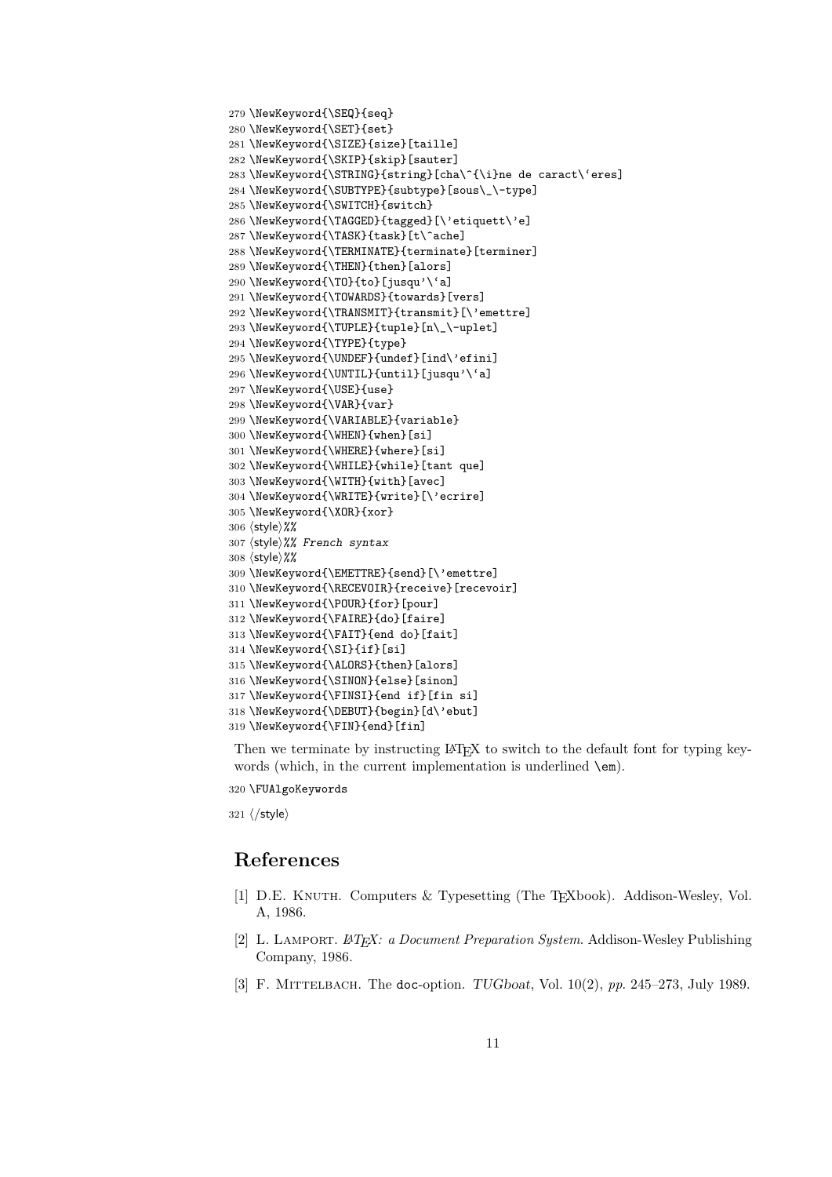```
279 \NewKeyword{\SEQ}{seq}
280 \NewKeyword{\SET}{set}
281 \NewKeyword{\SIZE}{size}[taille]
282 \NewKeyword{\SKIP}{skip}[sauter]
283 \NewKeyword{\STRING}{string}[cha\^{\i}ne de caract\'eres]
284 \NewKeyword{\SUBTYPE}{subtype}[sous\_\-type]
285 \NewKeyword{\SWITCH}{switch}
286 \NewKeyword{\TAGGED}{tagged}[\'etiquett\'e]
287 \NewKeyword{\TASK}{task}[t\^ache]
288 \NewKeyword{\TERMINATE}{terminate}[terminer]
289 \NewKeyword{\THEN}{then}[alors]
290 \NewKeyword{\TO}{to}[jusqu'\'a]
291 \NewKeyword{\TOWARDS}{towards}[vers]
292 \NewKeyword{\TRANSMIT}{transmit}[\'emettre]
293 \NewKeyword{\TUPLE}{tuple}[n\_\-uplet]
294 \NewKeyword{\TYPE}{type}
295 \NewKeyword{\UNDEF}{undef}[ind\'efini]
296 \NewKeyword{\UNTIL}{until}[jusqu'\'a]
297 \NewKeyword{\USE}{use}
298 \NewKeyword{\VAR}{var}
299 \NewKeyword{\VARIABLE}{variable}
300 \NewKeyword{\WHEN}{when}[si]
301 \NewKeyword{\WHERE}{where}[si]
302 \NewKeyword{\WHILE}{while}[tant que]
303 \NewKeyword{\WITH}{with}[avec]
304 \NewKeyword{\WRITE}{write}[\'ecrire]
305 \NewKeyword{\XOR}{xor}
306 \langlestyle\rangle%%
307 (style)%% French syntax
308 \langlestyle\rangle%%
309 \NewKeyword{\EMETTRE}{send}[\'emettre]
310 \NewKeyword{\RECEVOIR}{receive}[recevoir]
311 \NewKeyword{\POUR}{for}[pour]
312 \NewKeyword{\FAIRE}{do}[faire]
313 \NewKeyword{\FAIT}{end do}[fait]
314 \NewKeyword{\SI}{if}[si]
315 \NewKeyword{\ALORS}{then}[alors]
316 \NewKeyword{\SINON}{else}[sinon]
317 \NewKeyword{\FINSI}{end if}[fin si]
318 \NewKeyword{\DEBUT}{begin}[d\'ebut]
319 \NewKeyword{\FIN}{end}[fin]
```
Then we terminate by instructing LATEX to switch to the default font for typing keywords (which, in the current implementation is underlined \em).

\FUAlgoKeywords

 $321 \; \langle /$ style $\rangle$ 

### **References**

- [1] D.E. Knuth. Computers & Typesetting (The TEXbook). Addison-Wesley, Vol. A, 1986.
- [2] L. Lamport. *<sup>L</sup>ATEX: a Document Preparation System*. Addison-Wesley Publishing Company, 1986.
- [3] F. MITTELBACH. The doc-option. *TUGboat*, Vol. 10(2), pp. 245–273, July 1989.